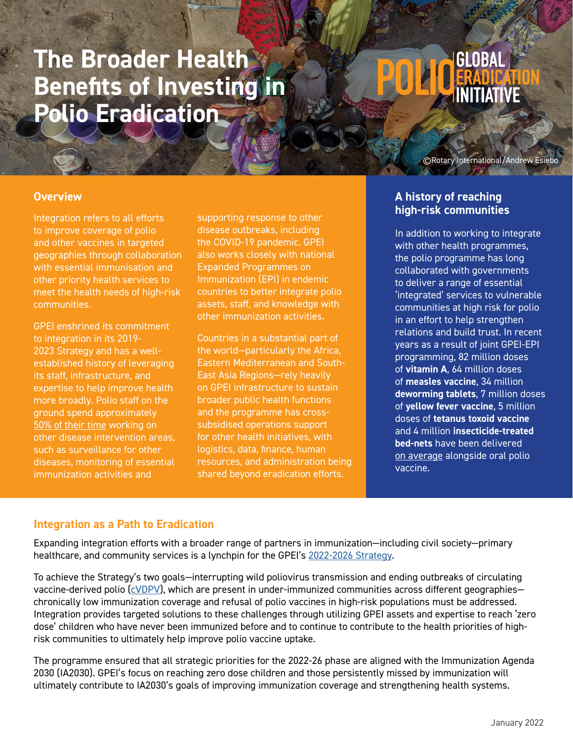# **The Broader Health Benefits of Investing in Polio Eradication**

# **GLOBAL**

©Rotary International/Andrew Esiebo

#### **Overview**

Integration refers to all efforts to improve coverage of polio and other vaccines in targeted geographies through collaboration with essential immunisation and other priority health services to meet the health needs of high-risk communities.

GPEI enshrined its commitment to integration in its 2019- 2023 Strategy and has a wellestablished history of leveraging its staff, infrastructure, and expertise to help improve health more broadly. Polio staff on the ground spend approximately [50% of their time](https://apps.who.int/gb/ebwha/pdf_files/WHA73/A73_12-en.pdf) working on other disease intervention areas, such as surveillance for other diseases, monitoring of essential immunization activities and

supporting response to other disease outbreaks, including the COVID-19 pandemic. GPEI also works closely with national Expanded Programmes on Immunization (EPI) in endemic countries to better integrate polio assets, staff, and knowledge with other immunization activities.

Countries in a substantial part of the world—particularly the Africa, Eastern Mediterranean and South-East Asia Regions—rely heavily on GPEI infrastructure to sustain broader public health functions and the programme has crosssubsidised operations support for other health initiatives, with logistics, data, finance, human resources, and administration being shared beyond eradication efforts.

#### **A history of reaching high-risk communities**

In addition to working to integrate with other health programmes, the polio programme has long collaborated with governments to deliver a range of essential 'integrated' services to vulnerable communities at high risk for polio in an effort to help strengthen relations and build trust. In recent years as a result of joint GPEI-EPI programming, 82 million doses of **vitamin A**, 64 million doses of **measles vaccine**, 34 million **deworming tablets**, 7 million doses of **yellow fever vaccine**, 5 million doses of **tetanus toxoid vaccine** and 4 million **insecticide-treated bed-nets** have been delivered [on average](https://apps.who.int/gb/ebwha/pdf_files/WHA73/A73_12-en.pdf) alongside oral polio vaccine.

# **Integration as a Path to Eradication**

Expanding integration efforts with a broader range of partners in immunization—including civil society—primary healthcare, and community services is a lynchpin for the GPEI's [2022-2026 Strategy.](https://polioeradication.org/gpei-strategy-2022-2026/)

To achieve the Strategy's two goals—interrupting wild poliovirus transmission and ending outbreaks of circulating vaccine-derived polio [\(cVDPV](https://polioeradication.org/wp-content/uploads/2021/12/GPEI_cVDPV2-nOPV2_Factsheet_02-Dec-2021_EN.pdf)), which are present in under-immunized communities across different geographies chronically low immunization coverage and refusal of polio vaccines in high-risk populations must be addressed. Integration provides targeted solutions to these challenges through utilizing GPEI assets and expertise to reach 'zero dose' children who have never been immunized before and to continue to contribute to the health priorities of highrisk communities to ultimately help improve polio vaccine uptake.

The programme ensured that all strategic priorities for the 2022-26 phase are aligned with the Immunization Agenda 2030 (IA2030). GPEI's focus on reaching zero dose children and those persistently missed by immunization will ultimately contribute to IA2030's goals of improving immunization coverage and strengthening health systems.